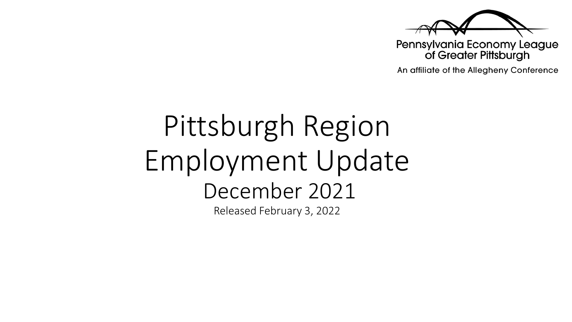

Pennsylvania Economy League of Greater Pittsburgh

An affiliate of the Allegheny Conference

# Pittsburgh Region Employment Update December 2021 Released February 3, 2022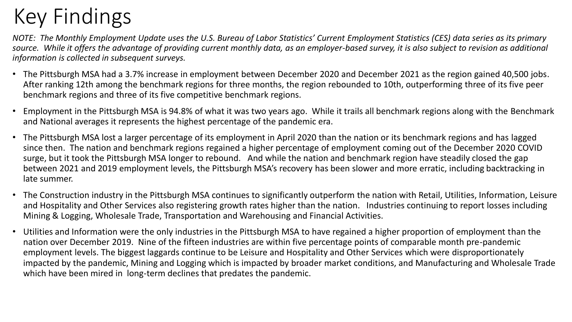## Key Findings

*NOTE: The Monthly Employment Update uses the U.S. Bureau of Labor Statistics' Current Employment Statistics (CES) data series as its primary source. While it offers the advantage of providing current monthly data, as an employer-based survey, it is also subject to revision as additional information is collected in subsequent surveys.* 

- The Pittsburgh MSA had a 3.7% increase in employment between December 2020 and December 2021 as the region gained 40,500 jobs. After ranking 12th among the benchmark regions for three months, the region rebounded to 10th, outperforming three of its five peer benchmark regions and three of its five competitive benchmark regions.
- Employment in the Pittsburgh MSA is 94.8% of what it was two years ago. While it trails all benchmark regions along with the Benchmark and National averages it represents the highest percentage of the pandemic era.
- The Pittsburgh MSA lost a larger percentage of its employment in April 2020 than the nation or its benchmark regions and has lagged since then. The nation and benchmark regions regained a higher percentage of employment coming out of the December 2020 COVID surge, but it took the Pittsburgh MSA longer to rebound. And while the nation and benchmark region have steadily closed the gap between 2021 and 2019 employment levels, the Pittsburgh MSA's recovery has been slower and more erratic, including backtracking in late summer.
- The Construction industry in the Pittsburgh MSA continues to significantly outperform the nation with Retail, Utilities, Information, Leisure and Hospitality and Other Services also registering growth rates higher than the nation. Industries continuing to report losses including Mining & Logging, Wholesale Trade, Transportation and Warehousing and Financial Activities.
- Utilities and Information were the only industries in the Pittsburgh MSA to have regained a higher proportion of employment than the nation over December 2019. Nine of the fifteen industries are within five percentage points of comparable month pre-pandemic employment levels. The biggest laggards continue to be Leisure and Hospitality and Other Services which were disproportionately impacted by the pandemic, Mining and Logging which is impacted by broader market conditions, and Manufacturing and Wholesale Trade which have been mired in long-term declines that predates the pandemic.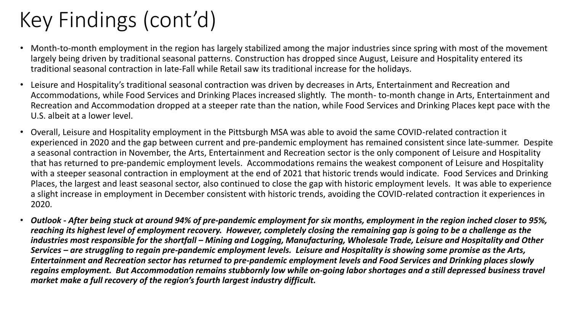## Key Findings (cont'd)

- Month-to-month employment in the region has largely stabilized among the major industries since spring with most of the movement largely being driven by traditional seasonal patterns. Construction has dropped since August, Leisure and Hospitality entered its traditional seasonal contraction in late-Fall while Retail saw its traditional increase for the holidays.
- Leisure and Hospitality's traditional seasonal contraction was driven by decreases in Arts, Entertainment and Recreation and Accommodations, while Food Services and Drinking Places increased slightly. The month- to-month change in Arts, Entertainment and Recreation and Accommodation dropped at a steeper rate than the nation, while Food Services and Drinking Places kept pace with the U.S. albeit at a lower level.
- Overall, Leisure and Hospitality employment in the Pittsburgh MSA was able to avoid the same COVID-related contraction it experienced in 2020 and the gap between current and pre-pandemic employment has remained consistent since late-summer. Despite a seasonal contraction in November, the Arts, Entertainment and Recreation sector is the only component of Leisure and Hospitality that has returned to pre-pandemic employment levels. Accommodations remains the weakest component of Leisure and Hospitality with a steeper seasonal contraction in employment at the end of 2021 that historic trends would indicate. Food Services and Drinking Places, the largest and least seasonal sector, also continued to close the gap with historic employment levels. It was able to experience a slight increase in employment in December consistent with historic trends, avoiding the COVID-related contraction it experiences in 2020.
- *Outlook - After being stuck at around 94% of pre-pandemic employment for six months, employment in the region inched closer to 95%, reaching its highest level of employment recovery. However, completely closing the remaining gap is going to be a challenge as the industries most responsible for the shortfall – Mining and Logging, Manufacturing, Wholesale Trade, Leisure and Hospitality and Other Services – are struggling to regain pre-pandemic employment levels. Leisure and Hospitality is showing some promise as the Arts, Entertainment and Recreation sector has returned to pre-pandemic employment levels and Food Services and Drinking places slowly regains employment. But Accommodation remains stubbornly low while on-going labor shortages and a still depressed business travel market make a full recovery of the region's fourth largest industry difficult.*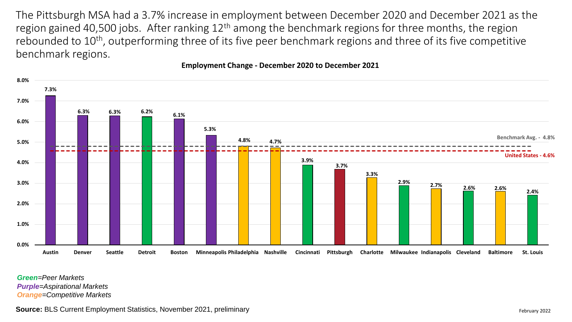The Pittsburgh MSA had a 3.7% increase in employment between December 2020 and December 2021 as the region gained 40,500 jobs. After ranking  $12<sup>th</sup>$  among the benchmark regions for three months, the region rebounded to 10<sup>th</sup>, outperforming three of its five peer benchmark regions and three of its five competitive benchmark regions.



### **Employment Change - December 2020 to December 2021**

*Green=Peer Markets Purple=Aspirational Markets Orange=Competitive Markets*

**Source:** BLS Current Employment Statistics, November 2021, preliminary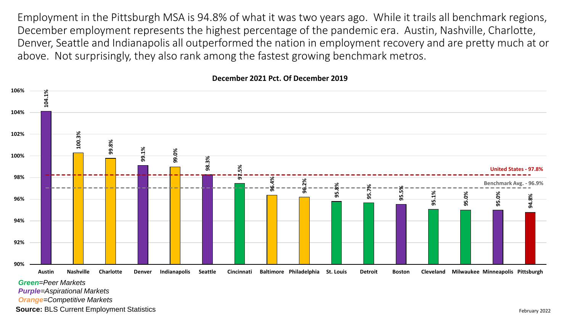Employment in the Pittsburgh MSA is 94.8% of what it was two years ago. While it trails all benchmark regions, December employment represents the highest percentage of the pandemic era. Austin, Nashville, Charlotte, Denver, Seattle and Indianapolis all outperformed the nation in employment recovery and are pretty much at or above. Not surprisingly, they also rank among the fastest growing benchmark metros.



#### **December 2021 Pct. Of December 2019**

*Green=Peer Markets*

*Purple=Aspirational Markets*

*Orange=Competitive Markets*

**Source:** BLS Current Employment Statistics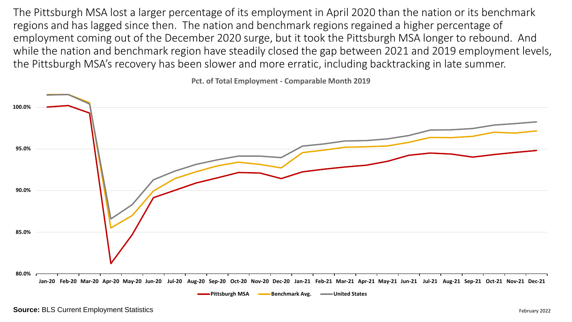The Pittsburgh MSA lost a larger percentage of its employment in April 2020 than the nation or its benchmark regions and has lagged since then. The nation and benchmark regions regained a higher percentage of employment coming out of the December 2020 surge, but it took the Pittsburgh MSA longer to rebound. And while the nation and benchmark region have steadily closed the gap between 2021 and 2019 employment levels, the Pittsburgh MSA's recovery has been slower and more erratic, including backtracking in late summer.

**Pct. of Total Employment - Comparable Month 2019**

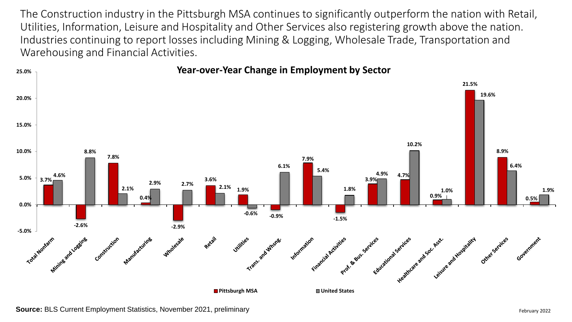The Construction industry in the Pittsburgh MSA continues to significantly outperform the nation with Retail, Utilities, Information, Leisure and Hospitality and Other Services also registering growth above the nation. Industries continuing to report losses including Mining & Logging, Wholesale Trade, Transportation and Warehousing and Financial Activities.

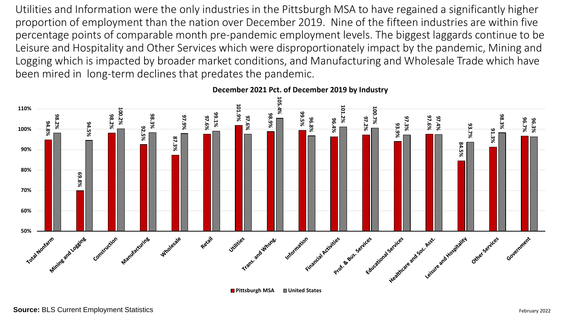Utilities and Information were the only industries in the Pittsburgh MSA to have regained a significantly higher proportion of employment than the nation over December 2019. Nine of the fifteen industries are within five percentage points of comparable month pre-pandemic employment levels. The biggest laggards continue to be Leisure and Hospitality and Other Services which were disproportionately impact by the pandemic, Mining and Logging which is impacted by broader market conditions, and Manufacturing and Wholesale Trade which have been mired in long-term declines that predates the pandemic.



**December 2021 Pct. of December 2019 by Industry**

**Pittsburgh MSA United States**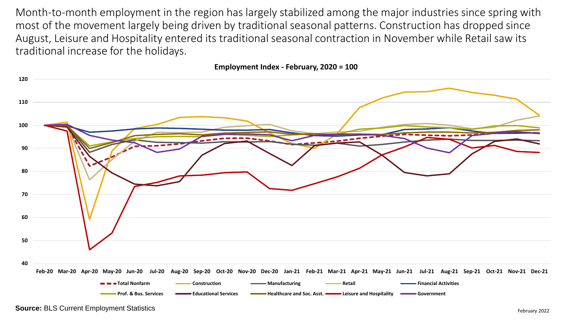Month-to-month employment in the region has largely stabilized among the major industries since spring with most of the movement largely being driven by traditional seasonal patterns. Construction has dropped since August, Leisure and Hospitality entered its traditional seasonal contraction in November while Retail saw its traditional increase for the holidays.

**Employment Index - February, 2020 = 100**

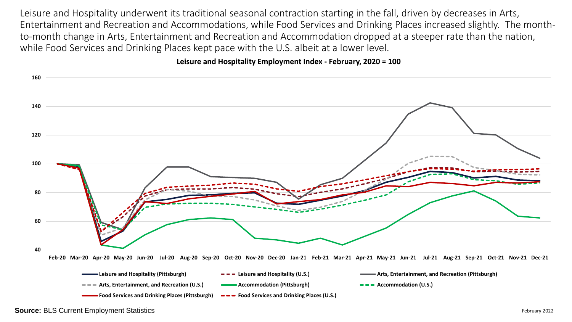Leisure and Hospitality underwent its traditional seasonal contraction starting in the fall, driven by decreases in Arts, Entertainment and Recreation and Accommodations, while Food Services and Drinking Places increased slightly. The monthto-month change in Arts, Entertainment and Recreation and Accommodation dropped at a steeper rate than the nation, while Food Services and Drinking Places kept pace with the U.S. albeit at a lower level.

### **Leisure and Hospitality Employment Index - February, 2020 = 100**



**Source:** BLS Current Employment Statistics